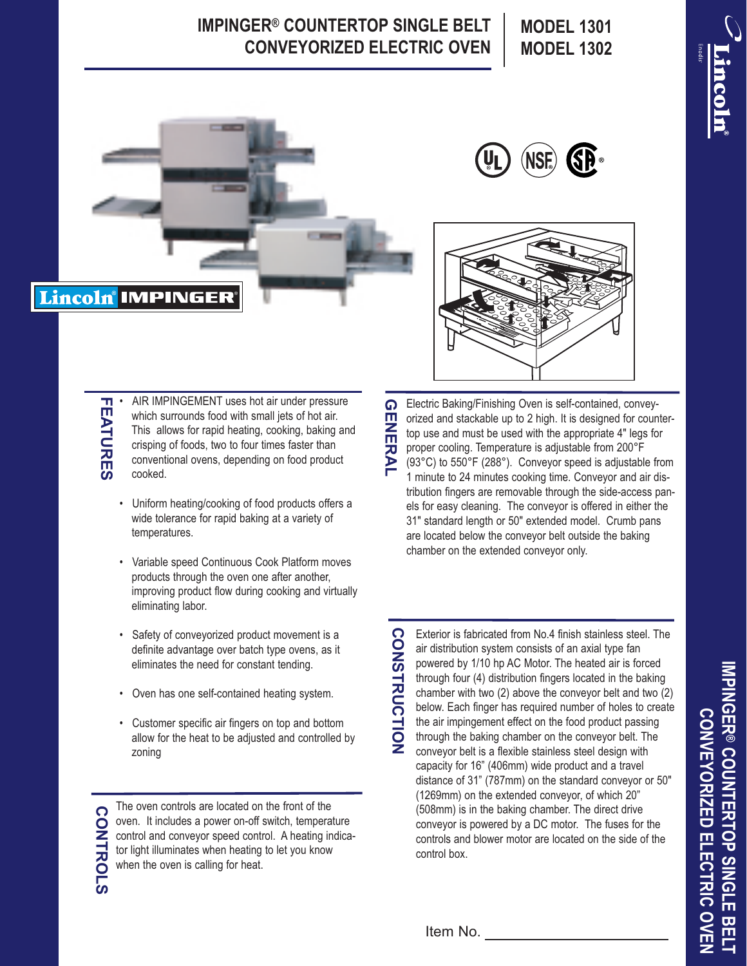## **IMPINGER® COUNTERTOP SINGLE BELT CONVEYORIZED ELECTRIC OVEN**

**MODEL 1301 MODEL 1302**







**FEATURES** • AIR IMPINGEMENT uses hot air under pressure **FEATURES** which surrounds food with small jets of hot air. This allows for rapid heating, cooking, baking and crisping of foods, two to four times faster than conventional ovens, depending on food product cooked.

- Uniform heating/cooking of food products offers a wide tolerance for rapid baking at a variety of temperatures.
- Variable speed Continuous Cook Platform moves products through the oven one after another, improving product flow during cooking and virtually eliminating labor.
- Safety of conveyorized product movement is a definite advantage over batch type ovens, as it eliminates the need for constant tending.
- Oven has one self-contained heating system.
- Customer specific air fingers on top and bottom allow for the heat to be adjusted and controlled by zoning

The oven controls are located on the front of the **CONTROLS CONTROLS** oven. It includes a power on-off switch, temperature control and conveyor speed control. A heating indicator light illuminates when heating to let you know when the oven is calling for heat.

Electric Baking/Finishing Oven is self-contained, convey-G **GENERAL** m orized and stackable up to 2 high. It is designed for counter-**NERAL** top use and must be used with the appropriate 4" legs for proper cooling. Temperature is adjustable from 200°F (93°C) to 550°F (288°). Conveyor speed is adjustable from 1 minute to 24 minutes cooking time. Conveyor and air distribution fingers are removable through the side-access panels for easy cleaning. The conveyor is offered in either the 31" standard length or 50" extended model. Crumb pans are located below the conveyor belt outside the baking chamber on the extended conveyor only.

**CONSTRUCTION CONSTRUCTION** Exterior is fabricated from No.4 finish stainless steel. The air distribution system consists of an axial type fan powered by 1/10 hp AC Motor. The heated air is forced through four (4) distribution fingers located in the baking chamber with two (2) above the conveyor belt and two (2) below. Each finger has required number of holes to create the air impingement effect on the food product passing through the baking chamber on the conveyor belt. The conveyor belt is a flexible stainless steel design with capacity for 16" (406mm) wide product and a travel distance of 31" (787mm) on the standard conveyor or 50" (1269mm) on the extended conveyor, of which 20" (508mm) is in the baking chamber. The direct drive conveyor is powered by a DC motor. The fuses for the controls and blower motor are located on the side of the control box.

**IMPINGER ® COUNTERTOP SINGLE BELT CONVEYORIZEDCONVEYORIZED ELECTRIC OVEN ELECTRIC OVEN**

Item No.